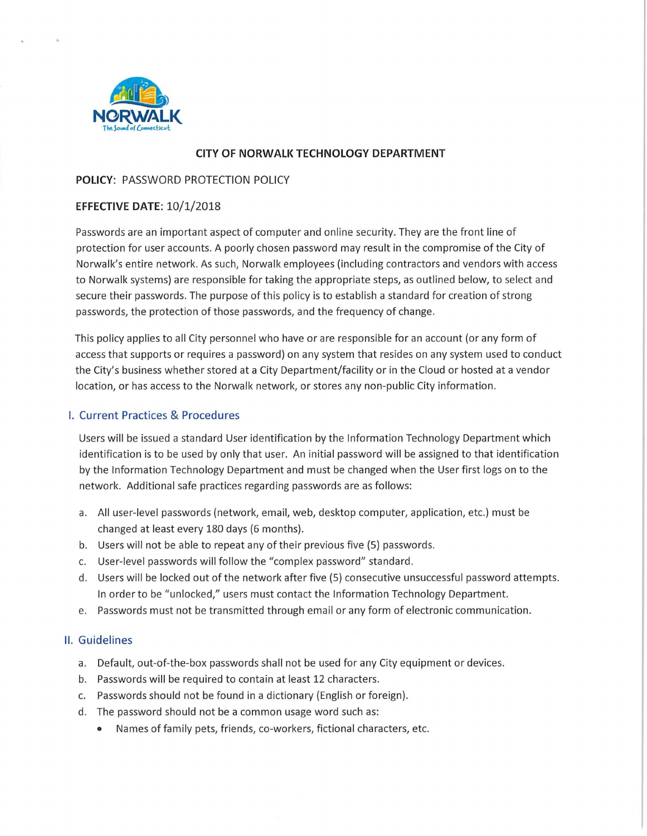

# **CITY OF NORWALK TECHNOLOGY DEPARTMENT**

# **POLICY:** PASSWORD PROTECTION POLICY

## **EFFECTIVE DATE:** 10/1/2018

Passwords are an important aspect of computer and online security. They are the front line of protection for user accounts. A poorly chosen password may result in the compromise of the City of Norwalk's entire network. As such, Norwalk employees (including contractors and vendors with access to Norwalk systems) are responsible for taking the appropriate steps, as outlined below, to select and secure their passwords. The purpose of this policy is to establish a standard for creation of strong passwords, the protection of those passwords, and the frequency of change.

This policy applies to all City personnel who have or are responsible for an account (or any form of access that supports or requires a password) on any system that resides on any system used to conduct the City's business whether stored at a City Department/facility or in the Cloud or hosted at a vendor location, or has access to the Norwalk network, or stores any non-public City information.

### I. Current Practices & Procedures

Users will be issued a standard User identification by the Information Technology Department which identification is to be used by only that user. An initial password will be assigned to that identification by the Information Technology Department and must be changed when the User first logs on to the network. Additional safe practices regarding passwords are as follows:

- a. All user-level passwords (network, email, web, desktop computer, application, etc.) must be changed at least every 180 days (6 months).
- b. Users will not be able to repeat any of their previous five (5) passwords.
- c. User-level passwords will follow the "complex password" standard.
- d. Users will be locked out of the network after five (5) consecutive unsuccessful password attempts. In order to be "unlocked," users must contact the Information Technology Department.
- e. Passwords must not be transmitted through email or any form of electronic communication.

### II. Guidelines

- a. Default, out-of-the-box passwords shall not be used for any City equipment or devices.
- b. Passwords will be required to contain at least 12 characters.
- c. Passwords should not be found in a dictionary (English or foreign).
- d. The password should not be a common usage word such as:
	- Names of family pets, friends, co-workers, fictional characters, etc.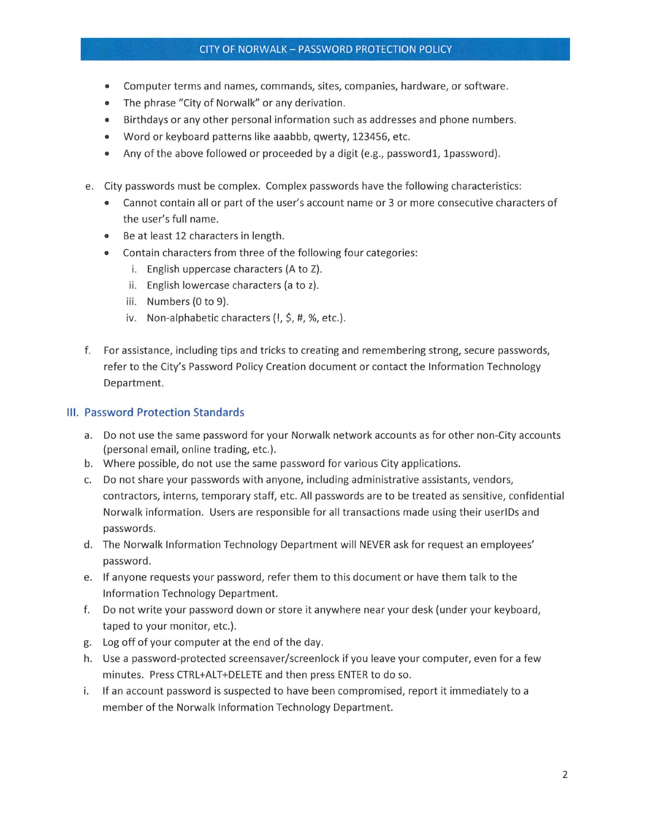## CITY OF NORWALK - PASSWORD PROTECTION POLICY

- Computer terms and names, commands, sites, companies, hardware, or software.
- The phrase "City of Norwalk" or any derivation.
- Birthdays or any other personal information such as addresses and phone numbers.
- Word or keyboard patterns like aaabbb, qwerty, 123456, etc.
- Any of the above followed or proceeded by a digit (e.g., password1, 1 password).
- e. City passwords must be complex. Complex passwords have the following characteristics:
	- Cannot contain all or part of the user's account name or 3 or more consecutive characters of the user's full name.
	- Be at least 12 characters in length.
	- Contain characters from three of the following four categories:
		- i. English uppercase characters (A to Z).
		- ii. English lowercase characters (a to z).
		- iii. Numbers (0 to 9).
		- iv. Non-alphabetic characters  $(l, \xi, \#, \mathcal{X},$  etc.).
- f. For assistance, including tips and tricks to creating and remembering strong, secure passwords, refer to the City's Password Policy Creation document or contact the Information Technology Department.

# Ill. Password Protection Standards

- a. Do not use the same password for your Norwalk network accounts as for other non-City accounts (personal email, online trading, etc.).
- b. Where possible, do not use the same password for various City applications.
- c. Do not share your passwords with anyone, including administrative assistants, vendors, contractors, interns, temporary staff, etc. All passwords are to be treated as sensitive, confidential Norwalk information. Users are responsible for all transactions made using their userlDs and passwords.
- d. The Norwalk Information Technology Department will NEVER ask for request an employees' password.
- e. If anyone requests your password, refer them to this document or have them talk to the Information Technology Department.
- f. Do not write your password down or store it anywhere near your desk (under your keyboard, taped to your monitor, etc.).
- g. Log off of your computer at the end of the day.
- h. Use a password-protected screensaver/screenlock if you leave your computer, even for a few minutes. Press CTRL+ALT+DELETE and then press ENTER to do so.
- i. If an account password is suspected to have been compromised, report it immediately to a member of the Norwalk Information Technology Department.